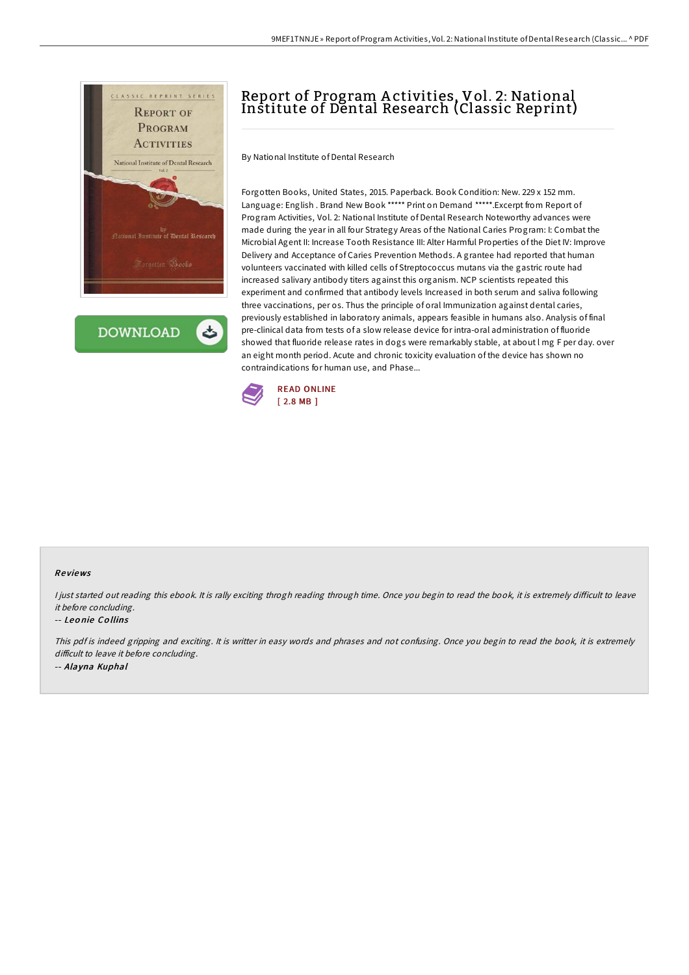

**DOWNLOAD** 

# Report of Program A ctivities, Vol. 2: National Institute of Dental Research (Classic Reprint)

By National Institute of Dental Research

Forgotten Books, United States, 2015. Paperback. Book Condition: New. 229 x 152 mm. Language: English . Brand New Book \*\*\*\*\* Print on Demand \*\*\*\*\*.Excerpt from Report of Program Activities, Vol. 2: National Institute of Dental Research Noteworthy advances were made during the year in all four Strategy Areas of the National Caries Program: I: Combat the Microbial Agent II: Increase Tooth Resistance III: Alter Harmful Properties of the Diet IV: Improve Delivery and Acceptance of Caries Prevention Methods. A grantee had reported that human volunteers vaccinated with killed cells of Streptococcus mutans via the gastric route had increased salivary antibody titers against this organism. NCP scientists repeated this experiment and confirmed that antibody levels Increased in both serum and saliva following three vaccinations, per os. Thus the principle of oral Immunization against dental caries, previously established in laboratory animals, appears feasible in humans also. Analysis of final pre-clinical data from tests of a slow release device for intra-oral administration of fluoride showed that fluoride release rates in dogs were remarkably stable, at about l mg F per day. over an eight month period. Acute and chronic toxicity evaluation of the device has shown no contraindications for human use, and Phase...



#### Re views

I just started out reading this ebook. It is rally exciting throgh reading through time. Once you begin to read the book, it is extremely difficult to leave it before concluding.

#### -- Leo nie Co llins

This pdf is indeed gripping and exciting. It is writter in easy words and phrases and not confusing. Once you begin to read the book, it is extremely difficult to leave it before concluding. -- Alayna Kuphal